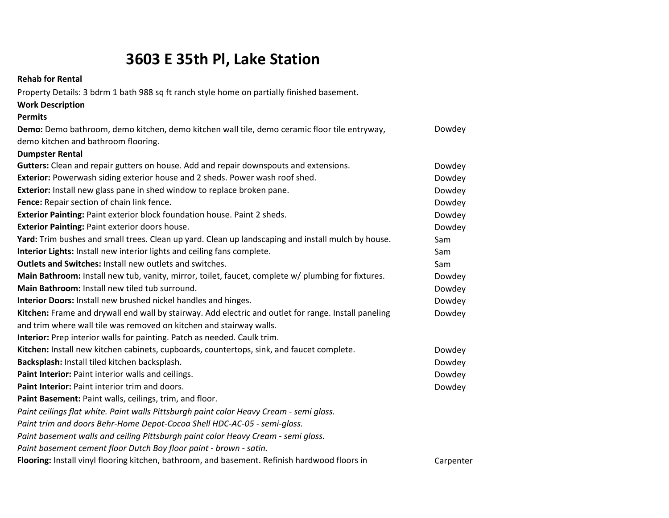## **3603 E 35th Pl, Lake Station**

**Rehab for Rental**

Property Details: 3 bdrm 1 bath 988 sq ft ranch style home on partially finished basement.

| <b>Work Description</b>                                                                              |           |
|------------------------------------------------------------------------------------------------------|-----------|
| <b>Permits</b>                                                                                       |           |
| Demo: Demo bathroom, demo kitchen, demo kitchen wall tile, demo ceramic floor tile entryway,         | Dowdey    |
| demo kitchen and bathroom flooring.                                                                  |           |
| <b>Dumpster Rental</b>                                                                               |           |
| Gutters: Clean and repair gutters on house. Add and repair downspouts and extensions.                | Dowdey    |
| Exterior: Powerwash siding exterior house and 2 sheds. Power wash roof shed.                         | Dowdey    |
| Exterior: Install new glass pane in shed window to replace broken pane.                              | Dowdey    |
| Fence: Repair section of chain link fence.                                                           | Dowdey    |
| Exterior Painting: Paint exterior block foundation house. Paint 2 sheds.                             | Dowdey    |
| Exterior Painting: Paint exterior doors house.                                                       | Dowdey    |
| Yard: Trim bushes and small trees. Clean up yard. Clean up landscaping and install mulch by house.   | Sam       |
| Interior Lights: Install new interior lights and ceiling fans complete.                              | Sam       |
| <b>Outlets and Switches: Install new outlets and switches.</b>                                       | Sam       |
| Main Bathroom: Install new tub, vanity, mirror, toilet, faucet, complete w/ plumbing for fixtures.   | Dowdey    |
| Main Bathroom: Install new tiled tub surround.                                                       | Dowdey    |
| Interior Doors: Install new brushed nickel handles and hinges.                                       | Dowdey    |
| Kitchen: Frame and drywall end wall by stairway. Add electric and outlet for range. Install paneling | Dowdey    |
| and trim where wall tile was removed on kitchen and stairway walls.                                  |           |
| Interior: Prep interior walls for painting. Patch as needed. Caulk trim.                             |           |
| Kitchen: Install new kitchen cabinets, cupboards, countertops, sink, and faucet complete.            | Dowdey    |
| Backsplash: Install tiled kitchen backsplash.                                                        | Dowdey    |
| Paint Interior: Paint interior walls and ceilings.                                                   | Dowdey    |
| Paint Interior: Paint interior trim and doors.                                                       | Dowdey    |
| Paint Basement: Paint walls, ceilings, trim, and floor.                                              |           |
| Paint ceilings flat white. Paint walls Pittsburgh paint color Heavy Cream - semi gloss.              |           |
| Paint trim and doors Behr-Home Depot-Cocoa Shell HDC-AC-05 - semi-gloss.                             |           |
| Paint basement walls and ceiling Pittsburgh paint color Heavy Cream - semi gloss.                    |           |
| Paint basement cement floor Dutch Boy floor paint - brown - satin.                                   |           |
| Flooring: Install vinyl flooring kitchen, bathroom, and basement. Refinish hardwood floors in        | Carpenter |